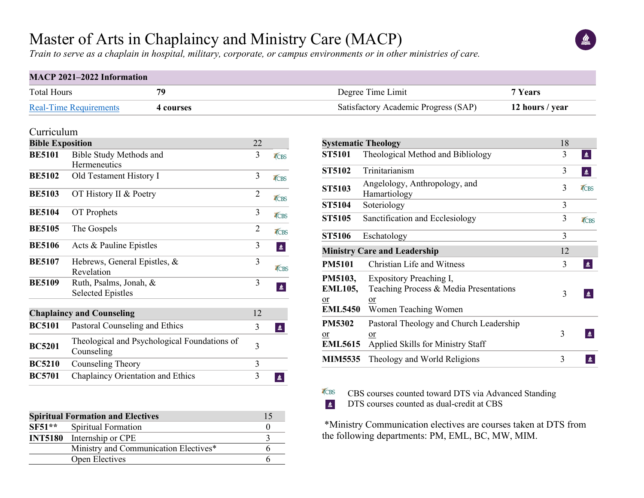# Master of Arts in Chaplaincy and Ministry Care (MACP)

*Train to serve as a chaplain in hospital, military, corporate, or campus environments or in other ministries of care.*

#### **MACP 2021–2022 Information**

| <b>Total Hours</b>            | 70      | Degree Time Limit                    | Years           |  |  |
|-------------------------------|---------|--------------------------------------|-----------------|--|--|
| <b>Real-Time Requirements</b> | courses | Satisfactory Academic Progress (SAP) | 12 hours / year |  |  |

TCBS  $\frac{d}{dx}$ 

#### Curriculum

| <b>Bible Exposition</b> | 22                                                         |                |      |  |  |  |
|-------------------------|------------------------------------------------------------|----------------|------|--|--|--|
| <b>BE5101</b>           | <b>Bible Study Methods and</b>                             | 3              | TCBS |  |  |  |
|                         | Hermeneutics                                               |                |      |  |  |  |
| <b>BE5102</b>           | Old Testament History I                                    | 3              | TCBS |  |  |  |
| <b>BE5103</b>           | OT History II & Poetry                                     | $\overline{2}$ | TCBS |  |  |  |
| <b>BE5104</b>           | OT Prophets                                                | 3              | TCBS |  |  |  |
| <b>BE5105</b>           | The Gospels                                                | $\overline{2}$ | TCBS |  |  |  |
| <b>BE5106</b>           | Acts & Pauline Epistles                                    | 3              | 鱼    |  |  |  |
| <b>BE5107</b>           | Hebrews, General Epistles, &<br>Revelation                 | 3              | TCBS |  |  |  |
|                         |                                                            | 3              |      |  |  |  |
| <b>BE5109</b>           | Ruth, Psalms, Jonah, &<br><b>Selected Epistles</b>         |                |      |  |  |  |
|                         | <b>Chaplaincy and Counseling</b>                           | 12             |      |  |  |  |
| <b>BC5101</b>           | Pastoral Counseling and Ethics                             | 3              | 鱼    |  |  |  |
| <b>BC5201</b>           | Theological and Psychological Foundations of<br>Counseling | 3              |      |  |  |  |
| <b>BC5210</b>           | Counseling Theory                                          | 3              |      |  |  |  |
| <b>BC5701</b>           | Chaplaincy Orientation and Ethics                          | 3              | ≝    |  |  |  |
|                         |                                                            |                |      |  |  |  |

| <b>Spiritual Formation and Electives</b> |                                       |  |  |  |
|------------------------------------------|---------------------------------------|--|--|--|
|                                          | SF51** Spiritual Formation            |  |  |  |
|                                          | <b>INT5180</b> Internship or CPE      |  |  |  |
|                                          | Ministry and Communication Electives* |  |  |  |
|                                          | Open Electives                        |  |  |  |

| <b>Systematic Theology</b>                        |                                                                                                 |   |             |  |  |
|---------------------------------------------------|-------------------------------------------------------------------------------------------------|---|-------------|--|--|
| <b>ST5101</b>                                     | Theological Method and Bibliology                                                               | 3 | $\triangle$ |  |  |
| <b>ST5102</b>                                     | Trinitarianism                                                                                  | 3 | ≝           |  |  |
| <b>ST5103</b>                                     | Angelology, Anthropology, and<br>Hamartiology                                                   | 3 | TCBS        |  |  |
| <b>ST5104</b>                                     | Soteriology                                                                                     | 3 |             |  |  |
| <b>ST5105</b>                                     | Sanctification and Ecclesiology                                                                 | 3 | TCBS        |  |  |
| <b>ST5106</b>                                     | Eschatology                                                                                     | 3 |             |  |  |
| <b>Ministry Care and Leadership</b>               | 12                                                                                              |   |             |  |  |
| <b>PM5101</b>                                     | <b>Christian Life and Witness</b>                                                               | 3 | 鱼           |  |  |
| PM5103,<br><b>EML105,</b><br>or<br><b>EML5450</b> | Expository Preaching I,<br>Teaching Process & Media Presentations<br>or<br>Women Teaching Women | 3 | ≝           |  |  |
| <b>PM5302</b><br>or<br><b>EML5615</b>             | Pastoral Theology and Church Leadership<br>or<br>Applied Skills for Ministry Staff              | 3 | ≝           |  |  |
| <b>MIM5535</b>                                    | Theology and World Religions                                                                    | 3 |             |  |  |

CBS courses counted toward DTS via Advanced Standing

DTS courses counted as dual-credit at CBS

\*Ministry Communication electives are courses taken at DTS from the following departments: PM, EML, BC, MW, MIM.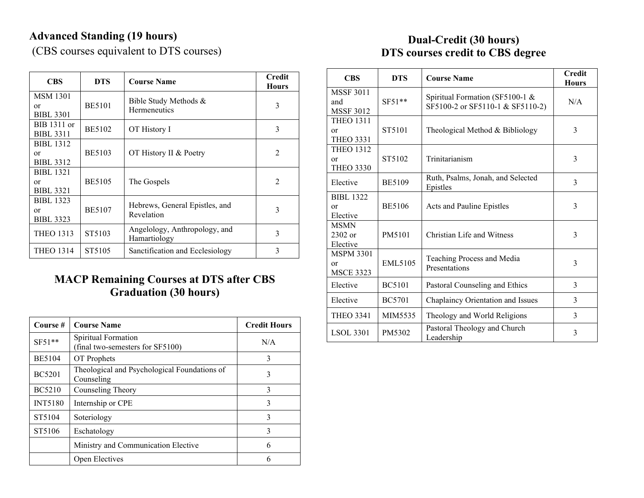# **Advanced Standing (19 hours)**

(CBS courses equivalent to DTS courses)

| <b>CBS</b>                                 | <b>DTS</b>    | <b>Course Name</b>                            | <b>Credit</b><br><b>Hours</b> |
|--------------------------------------------|---------------|-----------------------------------------------|-------------------------------|
| <b>MSM 1301</b><br>or<br><b>BIBL 3301</b>  | <b>BE5101</b> | Bible Study Methods &<br>Hermeneutics         | 3                             |
| BIB 1311 or<br><b>BIBL 3311</b>            | <b>BE5102</b> | OT History I                                  | 3                             |
| <b>BIBL 1312</b><br>or<br><b>BIBL 3312</b> | <b>BE5103</b> | OT History II & Poetry                        | $\mathfrak{D}$                |
| <b>BIBL 1321</b><br>or<br><b>BIBL 3321</b> | <b>BE5105</b> | The Gospels                                   | $\overline{2}$                |
| <b>BIBL 1323</b><br>or<br><b>BIBL 3323</b> | <b>BE5107</b> | Hebrews, General Epistles, and<br>Revelation  | 3                             |
| <b>THEO 1313</b>                           | ST5103        | Angelology, Anthropology, and<br>Hamartiology | 3                             |
| <b>THEO 1314</b>                           | ST5105        | Sanctification and Ecclesiology               | 3                             |

### **MACP Remaining Courses at DTS after CBS Graduation (30 hours)**

| Course #       | <b>Course Name</b>                                         | <b>Credit Hours</b> |
|----------------|------------------------------------------------------------|---------------------|
| $SF51**$       | Spiritual Formation<br>(final two-semesters for SF5100)    | N/A                 |
| <b>BE5104</b>  | OT Prophets                                                | 3                   |
| <b>BC5201</b>  | Theological and Psychological Foundations of<br>Counseling | 3                   |
| <b>BC5210</b>  | Counseling Theory                                          | 3                   |
| <b>INT5180</b> | Internship or CPE                                          | 3                   |
| ST5104         | Soteriology                                                | 3                   |
| ST5106         | Eschatology                                                | 3                   |
|                | Ministry and Communication Elective                        | 6                   |
|                | Open Electives                                             | 6                   |

## **Dual-Credit (30 hours) DTS courses credit to CBS degree**

| <b>CBS</b>                                  | <b>DTS</b>    | <b>Course Name</b>                                                  | <b>Credit</b><br><b>Hours</b> |
|---------------------------------------------|---------------|---------------------------------------------------------------------|-------------------------------|
| <b>MSSF 3011</b><br>and<br><b>MSSF 3012</b> | $SF51**$      | Spiritual Formation (SF5100-1 &<br>SF5100-2 or SF5110-1 & SF5110-2) | N/A                           |
| <b>THEO 1311</b><br>or<br><b>THEO 3331</b>  | ST5101        | Theological Method & Bibliology                                     | 3                             |
| <b>THEO 1312</b><br>or<br><b>THEO 3330</b>  | ST5102        | Trinitarianism                                                      | 3                             |
| Elective                                    | <b>BE5109</b> | Ruth, Psalms, Jonah, and Selected<br>Epistles                       | 3                             |
| <b>BIBL 1322</b><br>or<br>Elective          | <b>BE5106</b> | Acts and Pauline Epistles                                           | 3                             |
| <b>MSMN</b><br>2302 or<br>Elective          | PM5101        | Christian Life and Witness                                          | 3                             |
| <b>MSPM 3301</b><br>or<br><b>MSCE 3323</b>  | EML5105       | Teaching Process and Media<br>Presentations                         | 3                             |
| Elective                                    | <b>BC5101</b> | Pastoral Counseling and Ethics                                      | 3                             |
| Elective                                    | <b>BC5701</b> | Chaplaincy Orientation and Issues                                   | 3                             |
| <b>THEO 3341</b>                            | MIM5535       | Theology and World Religions                                        | 3                             |
| <b>LSOL 3301</b>                            | PM5302        | Pastoral Theology and Church<br>Leadership                          | 3                             |